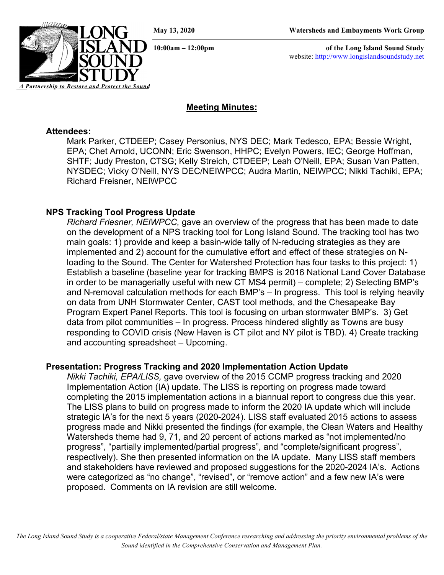*A Partnership to Restore and Protect the Sound*

**10:00am – 12:00pm of the Long Island Sound Study** website: [http://www.longislandsoundstudy.net](http://www.longislandsoundstudy.net/)

# **Meeting Minutes:**

#### **Attendees:**

Mark Parker, CTDEEP; Casey Personius, NYS DEC; Mark Tedesco, EPA; Bessie Wright, EPA; Chet Arnold, UCONN; Eric Swenson, HHPC; Evelyn Powers, IEC; George Hoffman, SHTF; Judy Preston, CTSG; Kelly Streich, CTDEEP; Leah O'Neill, EPA; Susan Van Patten, NYSDEC; Vicky O'Neill, NYS DEC/NEIWPCC; Audra Martin, NEIWPCC; Nikki Tachiki, EPA; Richard Freisner, NEIWPCC

## **NPS Tracking Tool Progress Update**

*Richard Friesner, NEIWPCC,* gave an overview of the progress that has been made to date on the development of a NPS tracking tool for Long Island Sound. The tracking tool has two main goals: 1) provide and keep a basin-wide tally of N-reducing strategies as they are implemented and 2) account for the cumulative effort and effect of these strategies on Nloading to the Sound. The Center for Watershed Protection has four tasks to this project: 1) Establish a baseline (baseline year for tracking BMPS is 2016 National Land Cover Database in order to be managerially useful with new CT MS4 permit) – complete; 2) Selecting BMP's and N-removal calculation methods for each BMP's – In progress. This tool is relying heavily on data from UNH Stormwater Center, CAST tool methods, and the Chesapeake Bay Program Expert Panel Reports. This tool is focusing on urban stormwater BMP's. 3) Get data from pilot communities – In progress. Process hindered slightly as Towns are busy responding to COVID crisis (New Haven is CT pilot and NY pilot is TBD). 4) Create tracking and accounting spreadsheet – Upcoming.

### **Presentation: Progress Tracking and 2020 Implementation Action Update**

*Nikki Tachiki, EPA/LISS,* gave overview of the 2015 CCMP progress tracking and 2020 Implementation Action (IA) update. The LISS is reporting on progress made toward completing the 2015 implementation actions in a biannual report to congress due this year. The LISS plans to build on progress made to inform the 2020 IA update which will include strategic IA's for the next 5 years (2020-2024). LISS staff evaluated 2015 actions to assess progress made and Nikki presented the findings (for example, the Clean Waters and Healthy Watersheds theme had 9, 71, and 20 percent of actions marked as "not implemented/no progress", "partially implemented/partial progress", and "complete/significant progress", respectively). She then presented information on the IA update. Many LISS staff members and stakeholders have reviewed and proposed suggestions for the 2020-2024 IA's. Actions were categorized as "no change", "revised", or "remove action" and a few new IA's were proposed. Comments on IA revision are still welcome.